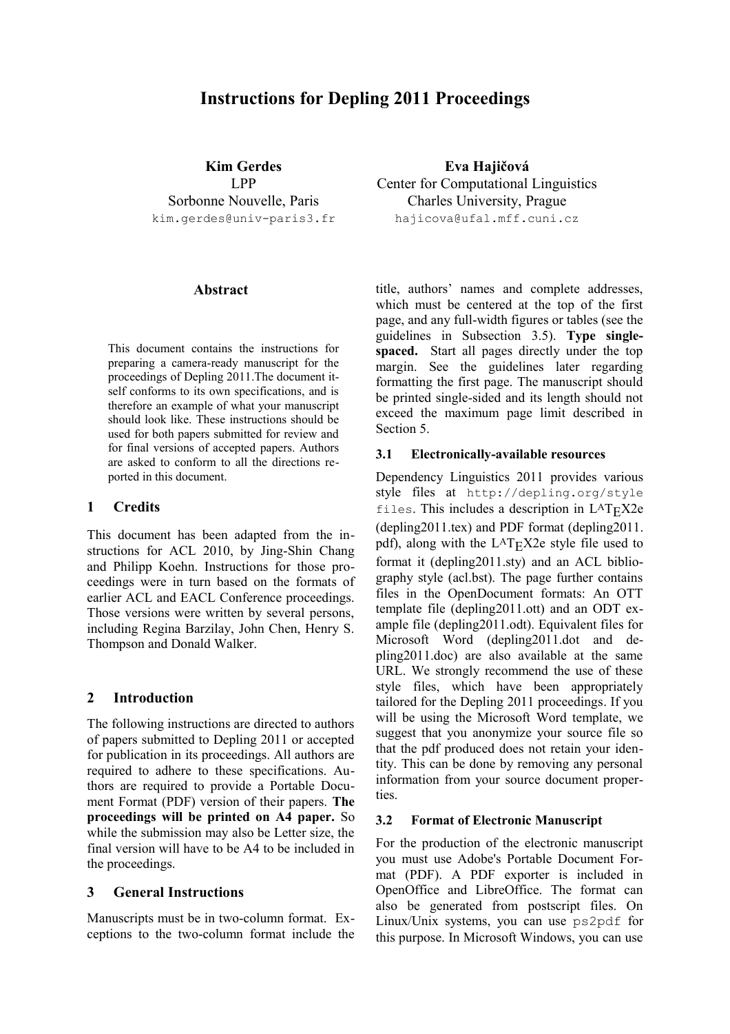# **Instructions for Depling 2011 Proceedings**

**Kim Gerdes** LPP Sorbonne Nouvelle, Paris kim.gerdes@univ-paris3.fr

#### **Abstract**

This document contains the instructions for preparing a camera-ready manuscript for the proceedings of Depling 2011.The document itself conforms to its own specifications, and is therefore an example of what your manuscript should look like. These instructions should be used for both papers submitted for review and for final versions of accepted papers. Authors are asked to conform to all the directions reported in this document.

## **1 Credits**

This document has been adapted from the instructions for ACL 2010, by Jing-Shin Chang and Philipp Koehn. Instructions for those proceedings were in turn based on the formats of earlier ACL and EACL Conference proceedings. Those versions were written by several persons, including Regina Barzilay, John Chen, Henry S. Thompson and Donald Walker.

## **2 Introduction**

The following instructions are directed to authors of papers submitted to Depling 2011 or accepted for publication in its proceedings. All authors are required to adhere to these specifications. Authors are required to provide a Portable Document Format (PDF) version of their papers. **The proceedings will be printed on A4 paper.** So while the submission may also be Letter size, the final version will have to be A4 to be included in the proceedings.

## **3 General Instructions**

Manuscripts must be in two-column format. Exceptions to the two-column format include the

**Eva Hajičová** Center for Computational Linguistics Charles University, Prague hajicova@ufal.mff.cuni.cz

title, authors' names and complete addresses, which must be centered at the top of the first page, and any full-width figures or tables (see the guidelines in Subsection 3.5). **Type singlespaced.** Start all pages directly under the top margin. See the guidelines later regarding formatting the first page. The manuscript should be printed single-sided and its length should not exceed the maximum page limit described in Section 5.

#### **3.1 Electronically-available resources**

Dependency Linguistics 2011 provides various style files at http://depling.org/style files. This includes a description in  $L<sup>A</sup>T<sub>F</sub>X2e$ (depling2011.tex) and PDF format (depling2011. pdf), along with the  $L^{AT}$ FX2e style file used to format it (depling2011.sty) and an ACL bibliography style (acl.bst). The page further contains files in the OpenDocument formats: An OTT template file (depling2011.ott) and an ODT example file (depling2011.odt). Equivalent files for Microsoft Word (depling2011.dot and depling2011.doc) are also available at the same URL. We strongly recommend the use of these style files, which have been appropriately tailored for the Depling 2011 proceedings. If you will be using the Microsoft Word template, we suggest that you anonymize your source file so that the pdf produced does not retain your identity. This can be done by removing any personal information from your source document properties.

#### **3.2 Format of Electronic Manuscript**

For the production of the electronic manuscript you must use Adobe's Portable Document Format (PDF). A PDF exporter is included in OpenOffice and LibreOffice. The format can also be generated from postscript files. On Linux/Unix systems, you can use ps2pdf for this purpose. In Microsoft Windows, you can use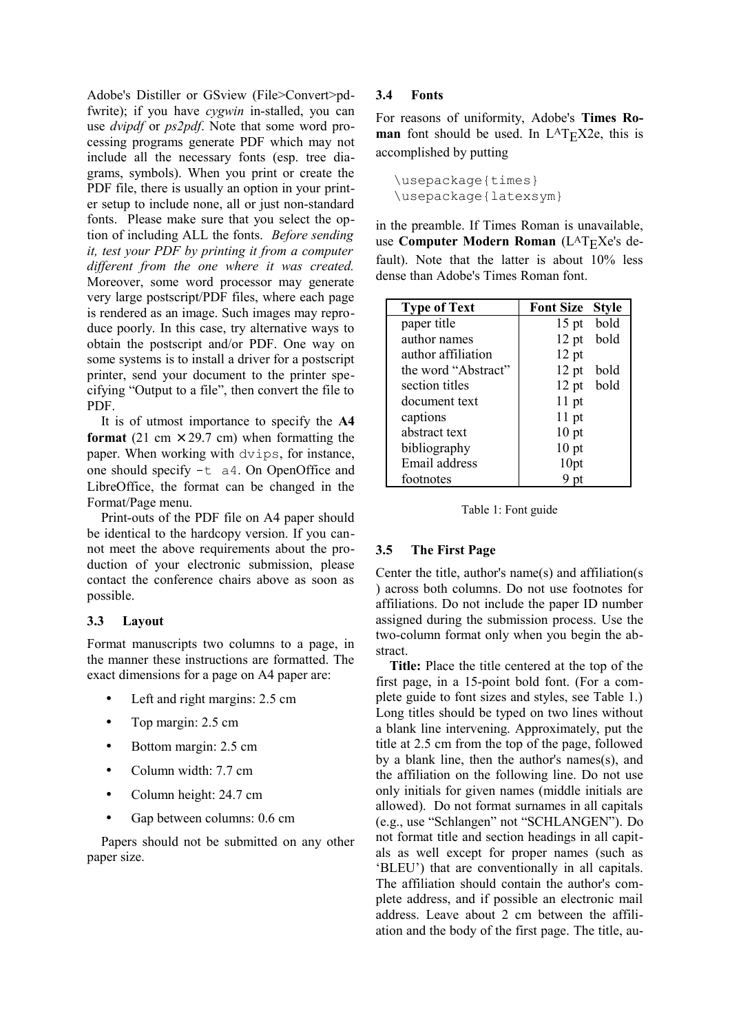Adobe's Distiller or GSview (File>Convert>pdfwrite); if you have *cygwin* in-stalled, you can use *dvipdf* or *ps2pdf*. Note that some word processing programs generate PDF which may not include all the necessary fonts (esp. tree diagrams, symbols). When you print or create the PDF file, there is usually an option in your printer setup to include none, all or just non-standard fonts. Please make sure that you select the option of including ALL the fonts. *Before sending it, test your PDF by printing it from a computer different from the one where it was created.* Moreover, some word processor may generate very large postscript/PDF files, where each page is rendered as an image. Such images may reproduce poorly. In this case, try alternative ways to obtain the postscript and/or PDF. One way on some systems is to install a driver for a postscript printer, send your document to the printer specifying "Output to a file", then convert the file to PDF.

It is of utmost importance to specify the **A4 format** (21 cm  $\times$  29.7 cm) when formatting the paper. When working with dvips, for instance, one should specify -t a4. On OpenOffice and LibreOffice, the format can be changed in the Format/Page menu.

Print-outs of the PDF file on A4 paper should be identical to the hardcopy version. If you cannot meet the above requirements about the production of your electronic submission, please contact the conference chairs above as soon as possible.

## **3.3 Layout**

Format manuscripts two columns to a page, in the manner these instructions are formatted. The exact dimensions for a page on A4 paper are:

- Left and right margins: 2.5 cm
- Top margin: 2.5 cm
- Bottom margin: 2.5 cm
- Column width: 7.7 cm
- Column height: 24.7 cm
- Gap between columns: 0.6 cm

Papers should not be submitted on any other paper size.

## **3.4 Fonts**

For reasons of uniformity, Adobe's **Times Roman** font should be used. In L<sup>A</sup>T<sub>E</sub>X2e, this is accomplished by putting

\usepackage{times} \usepackage{latexsym}

in the preamble. If Times Roman is unavailable, use **Computer Modern Roman** (L<sup>A</sup>T<sub>E</sub>Xe's default). Note that the latter is about 10% less dense than Adobe's Times Roman font.

| <b>Type of Text</b> | <b>Font Size</b> | <b>Style</b> |
|---------------------|------------------|--------------|
| paper title         | $15$ pt          | bold         |
| author names        | $12$ pt          | bold         |
| author affiliation  | $12$ pt          |              |
| the word "Abstract" | $12$ pt          | bold         |
| section titles      | $12$ pt          | bold         |
| document text       | $11$ pt          |              |
| captions            | $11$ pt          |              |
| abstract text       | 10 <sub>pt</sub> |              |
| bibliography        | 10 <sub>pt</sub> |              |
| Email address       | 10pt             |              |
| footnotes           |                  |              |

Table 1: Font guide

## **3.5 The First Page**

Center the title, author's name(s) and affiliation(s ) across both columns. Do not use footnotes for affiliations. Do not include the paper ID number assigned during the submission process. Use the two-column format only when you begin the abstract.

**Title:** Place the title centered at the top of the first page, in a 15-point bold font. (For a complete guide to font sizes and styles, see Table 1.) Long titles should be typed on two lines without a blank line intervening. Approximately, put the title at 2.5 cm from the top of the page, followed by a blank line, then the author's names(s), and the affiliation on the following line. Do not use only initials for given names (middle initials are allowed). Do not format surnames in all capitals (e.g., use "Schlangen" not "SCHLANGEN"). Do not format title and section headings in all capitals as well except for proper names (such as 'BLEU') that are conventionally in all capitals. The affiliation should contain the author's complete address, and if possible an electronic mail address. Leave about 2 cm between the affiliation and the body of the first page. The title, au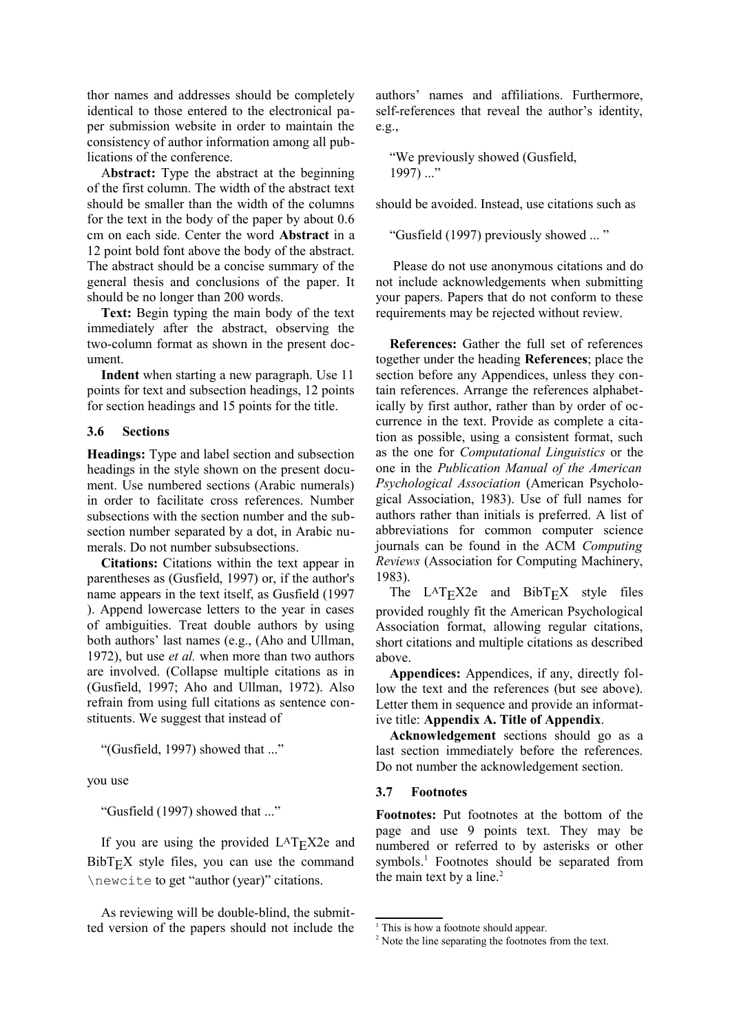thor names and addresses should be completely identical to those entered to the electronical paper submission website in order to maintain the consistency of author information among all publications of the conference.

A**bstract:** Type the abstract at the beginning of the first column. The width of the abstract text should be smaller than the width of the columns for the text in the body of the paper by about 0.6 cm on each side. Center the word **Abstract** in a 12 point bold font above the body of the abstract. The abstract should be a concise summary of the general thesis and conclusions of the paper. It should be no longer than 200 words.

**Text:** Begin typing the main body of the text immediately after the abstract, observing the two-column format as shown in the present document.

**Indent** when starting a new paragraph. Use 11 points for text and subsection headings, 12 points for section headings and 15 points for the title.

#### **3.6 Sections**

**Headings:** Type and label section and subsection headings in the style shown on the present document. Use numbered sections (Arabic numerals) in order to facilitate cross references. Number subsections with the section number and the subsection number separated by a dot, in Arabic numerals. Do not number subsubsections.

**Citations:** Citations within the text appear in parentheses as (Gusfield, 1997) or, if the author's name appears in the text itself, as Gusfield (1997 ). Append lowercase letters to the year in cases of ambiguities. Treat double authors by using both authors' last names (e.g., (Aho and Ullman, 1972), but use *et al.* when more than two authors are involved. (Collapse multiple citations as in (Gusfield, 1997; Aho and Ullman, 1972). Also refrain from using full citations as sentence constituents. We suggest that instead of

"(Gusfield, 1997) showed that ..."

you use

"Gusfield (1997) showed that ..."

If you are using the provided  $L^{AT}EX2e$  and  $BibT_FX$  style files, you can use the command \newcite to get "author (year)" citations.

As reviewing will be double-blind, the submitted version of the papers should not include the authors' names and affiliations. Furthermore, self-references that reveal the author's identity, e.g.,

"We previously showed (Gusfield,  $1997) ...$ "

should be avoided. Instead, use citations such as

"Gusfield (1997) previously showed ... "

Please do not use anonymous citations and do not include acknowledgements when submitting your papers. Papers that do not conform to these requirements may be rejected without review.

**References:** Gather the full set of references together under the heading **References**; place the section before any Appendices, unless they contain references. Arrange the references alphabetically by first author, rather than by order of occurrence in the text. Provide as complete a citation as possible, using a consistent format, such as the one for *Computational Linguistics* or the one in the *Publication Manual of the American Psychological Association* (American Psychological Association, 1983). Use of full names for authors rather than initials is preferred. A list of abbreviations for common computer science journals can be found in the ACM *Computing Reviews* (Association for Computing Machinery, 1983).

The  $LAT$ <sub>E</sub>X2e and  $BibT$ <sub>E</sub>X style files provided roughly fit the American Psychological Association format, allowing regular citations, short citations and multiple citations as described above.

**Appendices:** Appendices, if any, directly follow the text and the references (but see above). Letter them in sequence and provide an informative title: **Appendix A. Title of Appendix**.

**Acknowledgement** sections should go as a last section immediately before the references. Do not number the acknowledgement section.

#### **3.7 Footnotes**

**Footnotes:** Put footnotes at the bottom of the page and use 9 points text. They may be numbered or referred to by asterisks or other symbols.<sup>1</sup> Footnotes should be separated from the main text by a line. $<sup>2</sup>$ </sup>

<sup>&</sup>lt;sup>1</sup> This is how a footnote should appear.

<sup>&</sup>lt;sup>2</sup> Note the line separating the footnotes from the text.